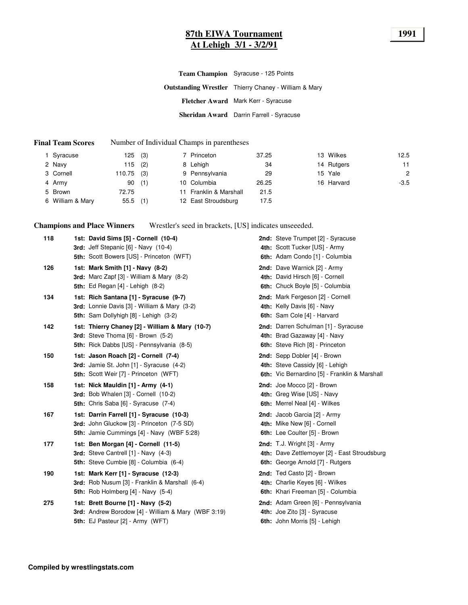#### **87th EIWA Tournament 1991 At Lehigh 3/1 - 3/2/91**

| <b>Team Champion</b> Syracuse - 125 Points                  |
|-------------------------------------------------------------|
| <b>Outstanding Wrestler</b> Thierry Chaney - William & Mary |
| Fletcher Award Mark Kerr - Syracuse                         |
| <b>Sheridan Award</b> Darrin Farrell - Syracuse             |

#### **Final Team Scores** Number of Individual Champs in parentheses

| Syracuse         | 125        | (3) | 7 Princeton            | 37.25 | 13 Wilkes  | 12.5           |
|------------------|------------|-----|------------------------|-------|------------|----------------|
| 2 Navy           | 115        | (2) | 8 Lehigh               | 34    | 14 Rutgers | 11             |
| 3 Cornell        | 110.75     | (3) | 9 Pennsylvania         | 29    | 15 Yale    | $\overline{c}$ |
| 4 Army           | 90         | (1) | 10 Columbia            | 26.25 | 16 Harvard | $-3.5$         |
| 5 Brown          | 72.75      |     | 11 Franklin & Marshall | 21.5  |            |                |
| 6 William & Mary | $55.5$ (1) |     | 12 East Stroudsburg    | 17.5  |            |                |

**Champions and Place Winners** Wrestler's seed in brackets, [US] indicates unseeeded.

| 118 | 1st: David Sims [5] - Cornell (10-4)<br>3rd: Jeff Stepanic [6] - Navy (10-4)<br>5th: Scott Bowers [US] - Princeton (WFT)                       | 2nd: Steve Trumpet [2] - Syracuse<br>4th: Scott Tucker [US] - Army<br>6th: Adam Condo [1] - Columbia                     |
|-----|------------------------------------------------------------------------------------------------------------------------------------------------|--------------------------------------------------------------------------------------------------------------------------|
| 126 | 1st: Mark Smith [1] - Navy (8-2)<br><b>3rd:</b> Marc Zapf $[3]$ - William & Mary $(8-2)$<br><b>5th:</b> Ed Regan [4] - Lehigh (8-2)            | 2nd: Dave Warnick [2] - Army<br>4th: David Hirsch [6] - Cornell<br>6th: Chuck Boyle [5] - Columbia                       |
| 134 | 1st: Rich Santana [1] - Syracuse (9-7)<br>3rd: Lonnie Davis [3] - William & Mary (3-2)<br>5th: Sam Dollyhigh [8] - Lehigh (3-2)                | 2nd: Mark Fergeson [2] - Cornell<br>4th: Kelly Davis [6] - Navy<br>6th: Sam Cole [4] - Harvard                           |
| 142 | 1st: Thierry Chaney [2] - William & Mary (10-7)<br>3rd: Steve Thoma [6] - Brown (5-2)<br>5th: Rick Dabbs [US] - Pennsylvania (8-5)             | 2nd: Darren Schulman [1] - Syracuse<br>4th: Brad Gazaway [4] - Navy<br>6th: Steve Rich [8] - Princeton                   |
| 150 | 1st: Jason Roach [2] - Cornell (7-4)<br><b>3rd:</b> Jamie St. John [1] - Syracuse (4-2)<br>5th: Scott Weir [7] - Princeton (WFT)               | 2nd: Sepp Dobler [4] - Brown<br>4th: Steve Cassidy [6] - Lehigh<br>6th: Vic Bernardino [5] - Franklin & Marshall         |
| 158 | 1st: Nick Mauldin [1] - Army (4-1)<br>3rd: Bob Whalen [3] - Cornell (10-2)<br>5th: Chris Saba [6] - Syracuse (7-4)                             | <b>2nd:</b> Joe Mocco [2] - Brown<br>4th: Greg Wise [US] - Navy<br>6th: Merrel Neal [4] - Wilkes                         |
| 167 | 1st: Darrin Farrell [1] - Syracuse (10-3)<br>3rd: John Gluckow [3] - Princeton (7-5 SD)<br><b>5th: Jamie Cummings [4] - Navy (WBF 5:28)</b>    | 2nd: Jacob Garcia [2] - Army<br>4th: Mike New [6] - Cornell<br>6th: Lee Coulter [5] - Brown                              |
| 177 | 1st: Ben Morgan [4] - Cornell (11-5)<br>3rd: Steve Cantrell [1] - Navy (4-3)<br>5th: Steve Cumbie [8] - Columbia (6-4)                         | <b>2nd:</b> T.J. Wright $[3]$ - Army<br>4th: Dave Zettlemoyer [2] - East Stroudsburg<br>6th: George Arnold [7] - Rutgers |
| 190 | 1st: Mark Kerr [1] - Syracuse (12-3)<br><b>3rd:</b> Rob Nusum [3] - Franklin & Marshall (6-4)<br><b>5th:</b> Rob Holmberg $[4]$ - Navy $(5-4)$ | 2nd: Ted Casto [2] - Brown<br>4th: Charlie Keyes [6] - Wilkes<br>6th: Khari Freeman [5] - Columbia                       |
| 275 | 1st: Brett Bourne [1] - Navy (5-2)<br>3rd: Andrew Borodow [4] - William & Mary (WBF 3:19)<br>5th: EJ Pasteur [2] - Army (WFT)                  | 2nd: Adam Green [6] - Pennsylvania<br>4th: Joe Zito [3] - Syracuse<br>6th: John Morris [5] - Lehigh                      |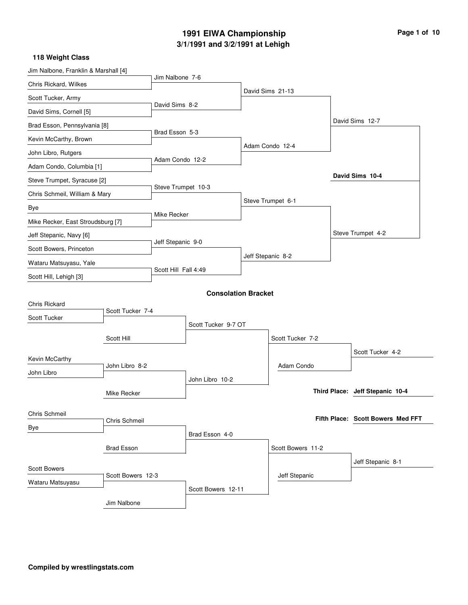# **3/1/1991 and 3/2/1991 at Lehigh 1991 EIWA Championship Page 1 of 10**

| Jim Nalbone 7-6<br>Chris Rickard, Wilkes<br>David Sims 21-13<br>Scott Tucker, Army<br>David Sims 8-2<br>David Sims, Cornell [5]<br>David Sims 12-7<br>Brad Esson, Pennsylvania [8]<br>Brad Esson 5-3<br>Kevin McCarthy, Brown<br>Adam Condo 12-4<br>John Libro, Rutgers<br>Adam Condo 12-2<br>Adam Condo, Columbia [1]<br>David Sims 10-4<br>Steve Trumpet, Syracuse [2]<br>Steve Trumpet 10-3<br>Chris Schmeil, William & Mary<br>Steve Trumpet 6-1<br>Bye<br>Mike Recker<br>Mike Recker, East Stroudsburg [7]<br>Steve Trumpet 4-2<br>Jeff Stepanic, Navy [6]<br>Jeff Stepanic 9-0<br>Scott Bowers, Princeton<br>Jeff Stepanic 8-2<br>Wataru Matsuyasu, Yale<br>Scott Hill Fall 4:49<br>Scott Hill, Lehigh [3] |
|------------------------------------------------------------------------------------------------------------------------------------------------------------------------------------------------------------------------------------------------------------------------------------------------------------------------------------------------------------------------------------------------------------------------------------------------------------------------------------------------------------------------------------------------------------------------------------------------------------------------------------------------------------------------------------------------------------------|
|                                                                                                                                                                                                                                                                                                                                                                                                                                                                                                                                                                                                                                                                                                                  |
|                                                                                                                                                                                                                                                                                                                                                                                                                                                                                                                                                                                                                                                                                                                  |
|                                                                                                                                                                                                                                                                                                                                                                                                                                                                                                                                                                                                                                                                                                                  |
|                                                                                                                                                                                                                                                                                                                                                                                                                                                                                                                                                                                                                                                                                                                  |
|                                                                                                                                                                                                                                                                                                                                                                                                                                                                                                                                                                                                                                                                                                                  |
|                                                                                                                                                                                                                                                                                                                                                                                                                                                                                                                                                                                                                                                                                                                  |
|                                                                                                                                                                                                                                                                                                                                                                                                                                                                                                                                                                                                                                                                                                                  |
|                                                                                                                                                                                                                                                                                                                                                                                                                                                                                                                                                                                                                                                                                                                  |
|                                                                                                                                                                                                                                                                                                                                                                                                                                                                                                                                                                                                                                                                                                                  |
|                                                                                                                                                                                                                                                                                                                                                                                                                                                                                                                                                                                                                                                                                                                  |
|                                                                                                                                                                                                                                                                                                                                                                                                                                                                                                                                                                                                                                                                                                                  |
|                                                                                                                                                                                                                                                                                                                                                                                                                                                                                                                                                                                                                                                                                                                  |
|                                                                                                                                                                                                                                                                                                                                                                                                                                                                                                                                                                                                                                                                                                                  |
|                                                                                                                                                                                                                                                                                                                                                                                                                                                                                                                                                                                                                                                                                                                  |
|                                                                                                                                                                                                                                                                                                                                                                                                                                                                                                                                                                                                                                                                                                                  |
| <b>Consolation Bracket</b>                                                                                                                                                                                                                                                                                                                                                                                                                                                                                                                                                                                                                                                                                       |
| <b>Chris Rickard</b>                                                                                                                                                                                                                                                                                                                                                                                                                                                                                                                                                                                                                                                                                             |
| Scott Tucker 7-4<br>Scott Tucker                                                                                                                                                                                                                                                                                                                                                                                                                                                                                                                                                                                                                                                                                 |
| Scott Tucker 9-7 OT                                                                                                                                                                                                                                                                                                                                                                                                                                                                                                                                                                                                                                                                                              |
| Scott Hill<br>Scott Tucker 7-2                                                                                                                                                                                                                                                                                                                                                                                                                                                                                                                                                                                                                                                                                   |
| Scott Tucker 4-2<br>Kevin McCarthy                                                                                                                                                                                                                                                                                                                                                                                                                                                                                                                                                                                                                                                                               |
| John Libro 8-2<br>Adam Condo<br>John Libro                                                                                                                                                                                                                                                                                                                                                                                                                                                                                                                                                                                                                                                                       |
| John Libro 10-2<br>Third Place: Jeff Stepanic 10-4                                                                                                                                                                                                                                                                                                                                                                                                                                                                                                                                                                                                                                                               |
| Mike Recker                                                                                                                                                                                                                                                                                                                                                                                                                                                                                                                                                                                                                                                                                                      |
| Chris Schmeil<br>Fifth Place: Scott Bowers Med FFT                                                                                                                                                                                                                                                                                                                                                                                                                                                                                                                                                                                                                                                               |
| Chris Schmeil<br>Bye                                                                                                                                                                                                                                                                                                                                                                                                                                                                                                                                                                                                                                                                                             |
| Brad Esson 4-0                                                                                                                                                                                                                                                                                                                                                                                                                                                                                                                                                                                                                                                                                                   |
| <b>Brad Esson</b><br>Scott Bowers 11-2<br>Jeff Stepanic 8-1                                                                                                                                                                                                                                                                                                                                                                                                                                                                                                                                                                                                                                                      |
| <b>Scott Bowers</b><br>Scott Bowers 12-3<br>Jeff Stepanic                                                                                                                                                                                                                                                                                                                                                                                                                                                                                                                                                                                                                                                        |
| Wataru Matsuyasu<br>Scott Bowers 12-11                                                                                                                                                                                                                                                                                                                                                                                                                                                                                                                                                                                                                                                                           |
| Jim Nalbone                                                                                                                                                                                                                                                                                                                                                                                                                                                                                                                                                                                                                                                                                                      |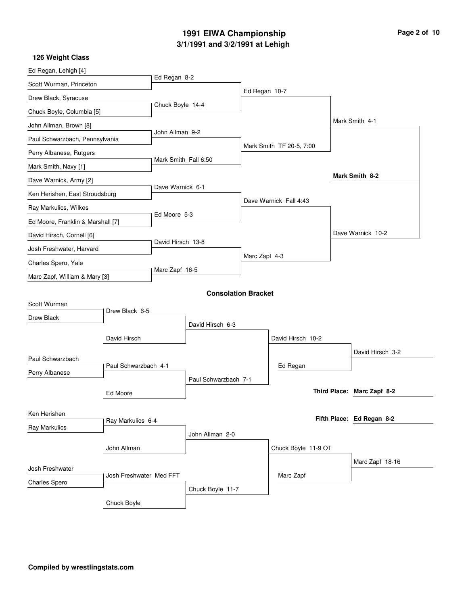#### **3/1/1991 and 3/2/1991 at Lehigh 1991 EIWA Championship**

|  | Page 2 of 10 |  |  |  |
|--|--------------|--|--|--|
|--|--------------|--|--|--|

| 126 Weight Class                  |                         |                      |                            |               |                          |                            |
|-----------------------------------|-------------------------|----------------------|----------------------------|---------------|--------------------------|----------------------------|
| Ed Regan, Lehigh [4]              |                         |                      |                            |               |                          |                            |
| Scott Wurman, Princeton           |                         | Ed Regan 8-2         |                            |               |                          |                            |
| Drew Black, Syracuse              |                         |                      |                            | Ed Regan 10-7 |                          |                            |
| Chuck Boyle, Columbia [5]         |                         | Chuck Boyle 14-4     |                            |               |                          |                            |
| John Allman, Brown [8]            |                         |                      |                            |               |                          | Mark Smith 4-1             |
| Paul Schwarzbach, Pennsylvania    |                         | John Allman 9-2      |                            |               |                          |                            |
| Perry Albanese, Rutgers           |                         |                      |                            |               | Mark Smith TF 20-5, 7:00 |                            |
| Mark Smith, Navy [1]              |                         | Mark Smith Fall 6:50 |                            |               |                          |                            |
| Dave Warnick, Army [2]            |                         |                      |                            |               |                          | Mark Smith 8-2             |
| Ken Herishen, East Stroudsburg    |                         | Dave Warnick 6-1     |                            |               |                          |                            |
| Ray Markulics, Wilkes             |                         |                      |                            |               | Dave Warnick Fall 4:43   |                            |
| Ed Moore, Franklin & Marshall [7] |                         | Ed Moore 5-3         |                            |               |                          |                            |
|                                   |                         |                      |                            |               |                          | Dave Warnick 10-2          |
| David Hirsch, Cornell [6]         |                         | David Hirsch 13-8    |                            |               |                          |                            |
| Josh Freshwater, Harvard          |                         |                      |                            | Marc Zapf 4-3 |                          |                            |
| Charles Spero, Yale               |                         | Marc Zapf 16-5       |                            |               |                          |                            |
| Marc Zapf, William & Mary [3]     |                         |                      |                            |               |                          |                            |
|                                   |                         |                      | <b>Consolation Bracket</b> |               |                          |                            |
| Scott Wurman                      | Drew Black 6-5          |                      |                            |               |                          |                            |
| Drew Black                        |                         |                      | David Hirsch 6-3           |               |                          |                            |
|                                   | David Hirsch            |                      |                            |               | David Hirsch 10-2        |                            |
|                                   |                         |                      |                            |               |                          | David Hirsch 3-2           |
| Paul Schwarzbach                  | Paul Schwarzbach 4-1    |                      |                            |               | Ed Regan                 |                            |
| Perry Albanese                    |                         |                      | Paul Schwarzbach 7-1       |               |                          |                            |
|                                   | Ed Moore                |                      |                            |               |                          | Third Place: Marc Zapf 8-2 |
|                                   |                         |                      |                            |               |                          |                            |
| Ken Herishen                      | Ray Markulics 6-4       |                      |                            |               |                          | Fifth Place: Ed Regan 8-2  |
| Ray Markulics                     |                         |                      | John Allman 2-0            |               |                          |                            |
|                                   | John Allman             |                      |                            |               |                          |                            |
|                                   |                         |                      |                            |               | Chuck Boyle 11-9 OT      |                            |
| Josh Freshwater                   |                         |                      |                            |               |                          | Marc Zapf 18-16            |
| <b>Charles Spero</b>              | Josh Freshwater Med FFT |                      |                            |               | Marc Zapf                |                            |
|                                   |                         |                      | Chuck Boyle 11-7           |               |                          |                            |
|                                   | Chuck Boyle             |                      |                            |               |                          |                            |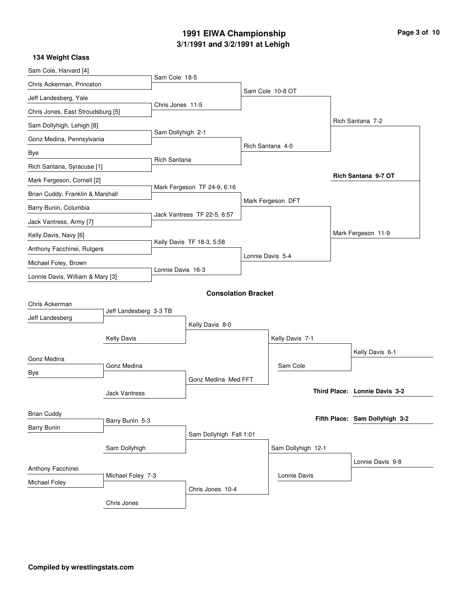#### **3/1/1991 and 3/2/1991 at Lehigh 1991 EIWA Championship**

|  |  | Page 3 of 10 |
|--|--|--------------|
|  |  |              |

| 134 Weight Class                  |                        |                     |                             |                    |                                |
|-----------------------------------|------------------------|---------------------|-----------------------------|--------------------|--------------------------------|
| Sam Cole, Harvard [4]             |                        |                     |                             |                    |                                |
| Chris Ackerman, Princeton         |                        | Sam Cole 18-5       |                             |                    |                                |
| Jeff Landesberg, Yale             |                        |                     |                             | Sam Cole 10-8 OT   |                                |
| Chris Jones, East Stroudsburg [5] |                        | Chris Jones 11-5    |                             |                    |                                |
| Sam Dollyhigh, Lehigh [8]         |                        |                     |                             |                    | Rich Santana 7-2               |
| Gonz Medina, Pennsylvania         |                        | Sam Dollyhigh 2-1   |                             |                    |                                |
| Bye                               |                        |                     |                             | Rich Santana 4-0   |                                |
| Rich Santana, Syracuse [1]        |                        | <b>Rich Santana</b> |                             |                    |                                |
| Mark Fergeson, Cornell [2]        |                        |                     |                             |                    | Rich Santana 9-7 OT            |
| Brian Cuddy, Franklin & Marshall  |                        |                     | Mark Fergeson TF 24-9, 6:16 |                    |                                |
| Barry Bunin, Columbia             |                        |                     |                             | Mark Fergeson DFT  |                                |
| Jack Vantress, Army [7]           |                        |                     | Jack Vantress TF 22-5, 6:57 |                    |                                |
| Kelly Davis, Navy [6]             |                        |                     |                             |                    | Mark Fergeson 11-9             |
| Anthony Facchinei, Rutgers        |                        |                     | Kelly Davis TF 18-3, 5:58   |                    |                                |
| Michael Foley, Brown              |                        |                     |                             | Lonnie Davis 5-4   |                                |
| Lonnie Davis, William & Mary [3]  |                        | Lonnie Davis 16-3   |                             |                    |                                |
|                                   |                        |                     | <b>Consolation Bracket</b>  |                    |                                |
| Chris Ackerman                    |                        |                     |                             |                    |                                |
| Jeff Landesberg                   | Jeff Landesberg 3-3 TB |                     |                             |                    |                                |
|                                   |                        |                     | Kelly Davis 8-0             |                    |                                |
|                                   | <b>Kelly Davis</b>     |                     |                             | Kelly Davis 7-1    |                                |
| Gonz Medina                       |                        |                     |                             |                    | Kelly Davis 6-1                |
| Bye                               | Gonz Medina            |                     |                             | Sam Cole           |                                |
|                                   |                        |                     | Gonz Medina Med FFT         |                    |                                |
|                                   | <b>Jack Vantress</b>   |                     |                             |                    | Third Place: Lonnie Davis 3-2  |
| <b>Brian Cuddy</b>                |                        |                     |                             |                    |                                |
| <b>Barry Bunin</b>                | Barry Bunin 5-3        |                     |                             |                    | Fifth Place: Sam Dollyhigh 3-2 |
|                                   |                        |                     | Sam Dollyhigh Fall 1:01     |                    |                                |
|                                   | Sam Dollyhigh          |                     |                             | Sam Dollyhigh 12-1 |                                |
| Anthony Facchinei                 |                        |                     |                             |                    | Lonnie Davis 9-8               |
| Michael Foley                     | Michael Foley 7-3      |                     |                             | Lonnie Davis       |                                |
|                                   |                        |                     | Chris Jones 10-4            |                    |                                |
|                                   | Chris Jones            |                     |                             |                    |                                |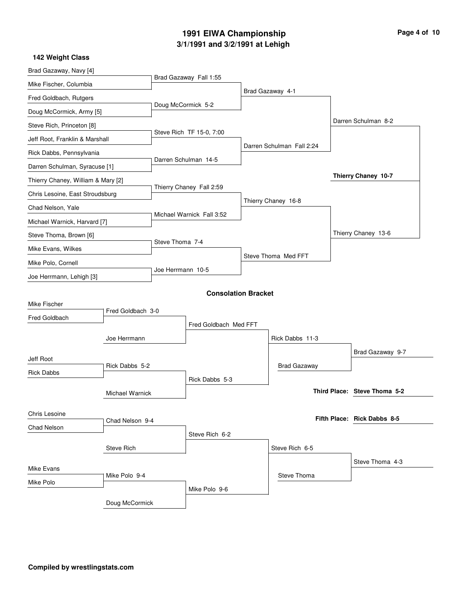# **3/1/1991 and 3/2/1991 at Lehigh 1991 EIWA Championship Page 4 of 10**

| 142 Weight Class                   |                   |                    |                            |                           |                              |
|------------------------------------|-------------------|--------------------|----------------------------|---------------------------|------------------------------|
| Brad Gazaway, Navy [4]             |                   |                    |                            |                           |                              |
| Mike Fischer, Columbia             |                   |                    | Brad Gazaway Fall 1:55     |                           |                              |
| Fred Goldbach, Rutgers             |                   |                    |                            | Brad Gazaway 4-1          |                              |
| Doug McCormick, Army [5]           |                   | Doug McCormick 5-2 |                            |                           |                              |
| Steve Rich, Princeton [8]          |                   |                    |                            |                           | Darren Schulman 8-2          |
| Jeff Root, Franklin & Marshall     |                   |                    | Steve Rich TF 15-0, 7:00   |                           |                              |
| Rick Dabbs, Pennsylvania           |                   |                    |                            | Darren Schulman Fall 2:24 |                              |
| Darren Schulman, Syracuse [1]      |                   |                    | Darren Schulman 14-5       |                           |                              |
| Thierry Chaney, William & Mary [2] |                   |                    |                            |                           | Thierry Chaney 10-7          |
| Chris Lesoine, East Stroudsburg    |                   |                    | Thierry Chaney Fall 2:59   |                           |                              |
| Chad Nelson, Yale                  |                   |                    |                            | Thierry Chaney 16-8       |                              |
| Michael Warnick, Harvard [7]       |                   |                    | Michael Warnick Fall 3:52  |                           |                              |
| Steve Thoma, Brown [6]             |                   |                    |                            |                           | Thierry Chaney 13-6          |
| Mike Evans, Wilkes                 |                   | Steve Thoma 7-4    |                            |                           |                              |
| Mike Polo, Cornell                 |                   |                    |                            | Steve Thoma Med FFT       |                              |
| Joe Herrmann, Lehigh [3]           |                   | Joe Herrmann 10-5  |                            |                           |                              |
|                                    |                   |                    | <b>Consolation Bracket</b> |                           |                              |
| Mike Fischer                       |                   |                    |                            |                           |                              |
| Fred Goldbach                      | Fred Goldbach 3-0 |                    |                            |                           |                              |
|                                    |                   |                    | Fred Goldbach Med FFT      |                           |                              |
|                                    | Joe Herrmann      |                    |                            | Rick Dabbs 11-3           |                              |
| Jeff Root                          |                   |                    |                            |                           | Brad Gazaway 9-7             |
| <b>Rick Dabbs</b>                  | Rick Dabbs 5-2    |                    |                            | <b>Brad Gazaway</b>       |                              |
|                                    |                   |                    | Rick Dabbs 5-3             |                           |                              |
|                                    | Michael Warnick   |                    |                            |                           | Third Place: Steve Thoma 5-2 |
| Chris Lesoine                      |                   |                    |                            |                           |                              |
| Chad Nelson                        | Chad Nelson 9-4   |                    |                            |                           | Fifth Place: Rick Dabbs 8-5  |
|                                    |                   |                    | Steve Rich 6-2             |                           |                              |
|                                    | <b>Steve Rich</b> |                    |                            | Steve Rich 6-5            |                              |
| Mike Evans                         |                   |                    |                            |                           | Steve Thoma 4-3              |
|                                    | Mike Polo 9-4     |                    |                            | Steve Thoma               |                              |
| Mike Polo                          |                   |                    | Mike Polo 9-6              |                           |                              |
|                                    | Doug McCormick    |                    |                            |                           |                              |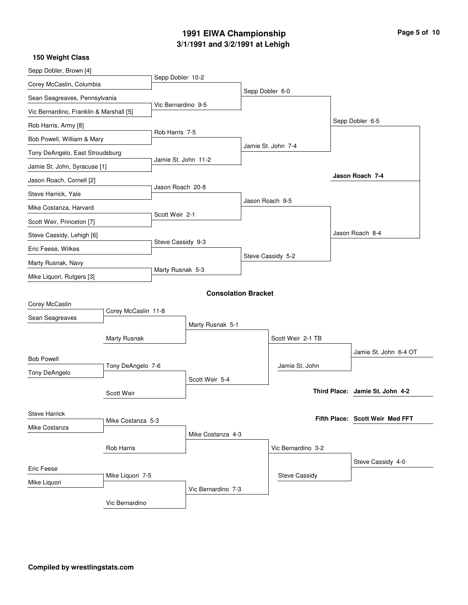# **3/1/1991 and 3/2/1991 at Lehigh 1991 EIWA Championship Page 5 of 10**

| Sepp Dobler, Brown [4]                  |                     |                     |                            |                 |                      |                                 |
|-----------------------------------------|---------------------|---------------------|----------------------------|-----------------|----------------------|---------------------------------|
| Corey McCaslin, Columbia                |                     | Sepp Dobler 10-2    |                            |                 |                      |                                 |
| Sean Seagreaves, Pennsylvania           |                     |                     |                            | Sepp Dobler 6-0 |                      |                                 |
| Vic Bernardino, Franklin & Marshall [5] |                     | Vic Bernardino 9-5  |                            |                 |                      |                                 |
| Rob Harris, Army [8]                    |                     |                     |                            |                 |                      | Sepp Dobler 6-5                 |
| Bob Powell, William & Mary              |                     | Rob Harris 7-5      |                            |                 |                      |                                 |
| Tony DeAngelo, East Stroudsburg         |                     |                     |                            |                 | Jamie St. John 7-4   |                                 |
| Jamie St. John, Syracuse [1]            |                     | Jamie St. John 11-2 |                            |                 |                      |                                 |
| Jason Roach, Cornell [2]                |                     |                     |                            |                 |                      | Jason Roach 7-4                 |
| Steve Harrick, Yale                     |                     | Jason Roach 20-8    |                            |                 |                      |                                 |
| Mike Costanza, Harvard                  |                     |                     |                            | Jason Roach 9-5 |                      |                                 |
| Scott Weir, Princeton [7]               |                     | Scott Weir 2-1      |                            |                 |                      |                                 |
| Steve Cassidy, Lehigh [6]               |                     |                     |                            |                 |                      | Jason Roach 8-4                 |
| Eric Feese, Wilkes                      |                     | Steve Cassidy 9-3   |                            |                 |                      |                                 |
| Marty Rusnak, Navy                      |                     |                     |                            |                 | Steve Cassidy 5-2    |                                 |
| Mike Liquori, Rutgers [3]               |                     | Marty Rusnak 5-3    |                            |                 |                      |                                 |
|                                         |                     |                     |                            |                 |                      |                                 |
| Corey McCaslin                          |                     |                     | <b>Consolation Bracket</b> |                 |                      |                                 |
| Sean Seagreaves                         | Corey McCaslin 11-8 |                     |                            |                 |                      |                                 |
|                                         |                     |                     | Marty Rusnak 5-1           |                 |                      |                                 |
|                                         | Marty Rusnak        |                     |                            |                 | Scott Weir 2-1 TB    |                                 |
| <b>Bob Powell</b>                       |                     |                     |                            |                 |                      | Jamie St. John 6-4 OT           |
| Tony DeAngelo                           | Tony DeAngelo 7-6   |                     |                            |                 | Jamie St. John       |                                 |
|                                         |                     |                     | Scott Weir 5-4             |                 |                      |                                 |
|                                         | Scott Weir          |                     |                            |                 |                      | Third Place: Jamie St. John 4-2 |
| <b>Steve Harrick</b>                    |                     |                     |                            |                 |                      |                                 |
| Mike Costanza                           | Mike Costanza 5-3   |                     |                            |                 |                      | Fifth Place: Scott Weir Med FFT |
|                                         |                     |                     | Mike Costanza 4-3          |                 |                      |                                 |
|                                         | Rob Harris          |                     |                            |                 | Vic Bernardino 3-2   |                                 |
| Eric Feese                              |                     |                     |                            |                 |                      | Steve Cassidy 4-0               |
|                                         | Mike Liquori 7-5    |                     |                            |                 | <b>Steve Cassidy</b> |                                 |
| Mike Liquori                            |                     |                     | Vic Bernardino 7-3         |                 |                      |                                 |
|                                         | Vic Bernardino      |                     |                            |                 |                      |                                 |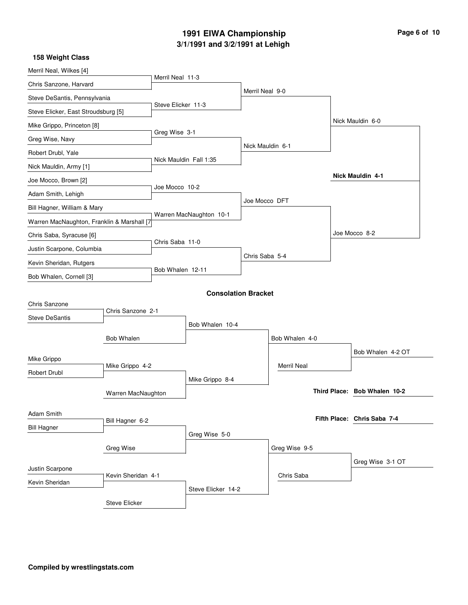# **3/1/1991 and 3/2/1991 at Lehigh 1991 EIWA Championship Page 6 of 10**

| Merril Neal, Wilkes [4]                    |                    |                        |                            |                  |                    |                              |
|--------------------------------------------|--------------------|------------------------|----------------------------|------------------|--------------------|------------------------------|
| Chris Sanzone, Harvard                     |                    | Merril Neal 11-3       |                            |                  |                    |                              |
| Steve DeSantis, Pennsylvania               |                    |                        |                            | Merril Neal 9-0  |                    |                              |
| Steve Elicker, East Stroudsburg [5]        |                    | Steve Elicker 11-3     |                            |                  |                    |                              |
| Mike Grippo, Princeton [8]                 |                    |                        |                            |                  |                    | Nick Mauldin 6-0             |
| Greg Wise, Navy                            |                    | Greg Wise 3-1          |                            |                  |                    |                              |
| Robert Drubl, Yale                         |                    |                        |                            | Nick Mauldin 6-1 |                    |                              |
| Nick Mauldin, Army [1]                     |                    | Nick Mauldin Fall 1:35 |                            |                  |                    |                              |
| Joe Mocco, Brown [2]                       |                    |                        |                            |                  |                    | Nick Mauldin 4-1             |
| Adam Smith, Lehigh                         |                    | Joe Mocco 10-2         |                            |                  |                    |                              |
| Bill Hagner, William & Mary                |                    |                        |                            | Joe Mocco DFT    |                    |                              |
| Warren MacNaughton, Franklin & Marshall [7 |                    |                        | Warren MacNaughton 10-1    |                  |                    |                              |
| Chris Saba, Syracuse [6]                   |                    |                        |                            |                  |                    | Joe Mocco 8-2                |
| Justin Scarpone, Columbia                  |                    | Chris Saba 11-0        |                            |                  |                    |                              |
| Kevin Sheridan, Rutgers                    |                    |                        |                            | Chris Saba 5-4   |                    |                              |
| Bob Whalen, Cornell [3]                    |                    | Bob Whalen 12-11       |                            |                  |                    |                              |
|                                            |                    |                        | <b>Consolation Bracket</b> |                  |                    |                              |
| Chris Sanzone                              |                    |                        |                            |                  |                    |                              |
| <b>Steve DeSantis</b>                      | Chris Sanzone 2-1  |                        |                            |                  |                    |                              |
|                                            |                    |                        | Bob Whalen 10-4            |                  |                    |                              |
|                                            | <b>Bob Whalen</b>  |                        |                            |                  | Bob Whalen 4-0     |                              |
| Mike Grippo                                |                    |                        |                            |                  |                    | Bob Whalen 4-2 OT            |
| Robert Drubl                               | Mike Grippo 4-2    |                        |                            |                  | <b>Merril Neal</b> |                              |
|                                            |                    |                        | Mike Grippo 8-4            |                  |                    | Third Place: Bob Whalen 10-2 |
|                                            | Warren MacNaughton |                        |                            |                  |                    |                              |
| Adam Smith                                 |                    |                        |                            |                  |                    | Fifth Place: Chris Saba 7-4  |
| <b>Bill Hagner</b>                         | Bill Hagner 6-2    |                        |                            |                  |                    |                              |
|                                            |                    |                        | Greg Wise 5-0              |                  |                    |                              |
|                                            | Greg Wise          |                        |                            |                  | Greg Wise 9-5      |                              |
| Justin Scarpone                            |                    |                        |                            |                  |                    | Greg Wise 3-1 OT             |
| Kevin Sheridan                             | Kevin Sheridan 4-1 |                        |                            |                  | Chris Saba         |                              |
|                                            |                    |                        | Steve Elicker 14-2         |                  |                    |                              |
|                                            | Steve Elicker      |                        |                            |                  |                    |                              |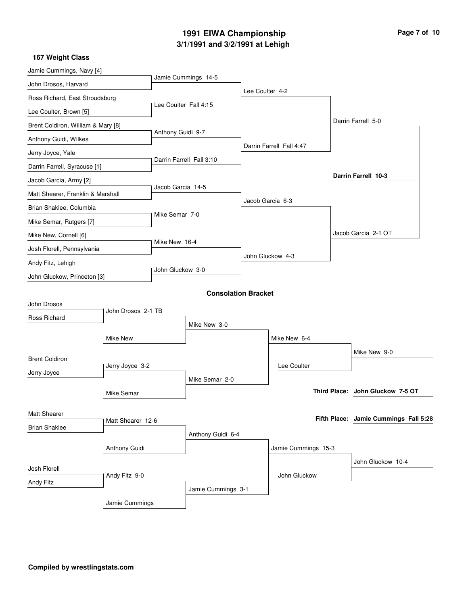# **3/1/1991 and 3/2/1991 at Lehigh 1991 EIWA Championship Page 7 of 10**

| Jamie Cummings, Navy [4]           |                    |                       |                            |                 |                          |                                       |
|------------------------------------|--------------------|-----------------------|----------------------------|-----------------|--------------------------|---------------------------------------|
| John Drosos, Harvard               |                    |                       | Jamie Cummings 14-5        | Lee Coulter 4-2 |                          |                                       |
| Ross Richard, East Stroudsburg     |                    |                       |                            |                 |                          |                                       |
| Lee Coulter, Brown [5]             |                    | Lee Coulter Fall 4:15 |                            |                 |                          |                                       |
| Brent Coldiron, William & Mary [8] |                    |                       |                            |                 |                          | Darrin Farrell 5-0                    |
| Anthony Guidi, Wilkes              |                    | Anthony Guidi 9-7     |                            |                 |                          |                                       |
| Jerry Joyce, Yale                  |                    |                       |                            |                 | Darrin Farrell Fall 4:47 |                                       |
| Darrin Farrell, Syracuse [1]       |                    |                       | Darrin Farrell Fall 3:10   |                 |                          |                                       |
| Jacob Garcia, Army [2]             |                    |                       |                            |                 |                          | Darrin Farrell 10-3                   |
| Matt Shearer, Franklin & Marshall  |                    | Jacob Garcia 14-5     |                            |                 |                          |                                       |
| Brian Shaklee, Columbia            |                    |                       |                            |                 | Jacob Garcia 6-3         |                                       |
| Mike Semar, Rutgers [7]            |                    | Mike Semar 7-0        |                            |                 |                          |                                       |
| Mike New, Cornell [6]              |                    |                       |                            |                 |                          | Jacob Garcia 2-1 OT                   |
| Josh Florell, Pennsylvania         |                    | Mike New 16-4         |                            |                 |                          |                                       |
| Andy Fitz, Lehigh                  |                    |                       |                            |                 | John Gluckow 4-3         |                                       |
| John Gluckow, Princeton [3]        |                    | John Gluckow 3-0      |                            |                 |                          |                                       |
|                                    |                    |                       | <b>Consolation Bracket</b> |                 |                          |                                       |
| John Drosos                        |                    |                       |                            |                 |                          |                                       |
| Ross Richard                       | John Drosos 2-1 TB |                       |                            |                 |                          |                                       |
|                                    |                    |                       | Mike New 3-0               |                 |                          |                                       |
|                                    | Mike New           |                       |                            |                 | Mike New 6-4             |                                       |
| <b>Brent Coldiron</b>              |                    |                       |                            |                 |                          | Mike New 9-0                          |
| Jerry Joyce                        | Jerry Joyce 3-2    |                       |                            |                 | Lee Coulter              |                                       |
|                                    |                    |                       | Mike Semar 2-0             |                 |                          |                                       |
|                                    | Mike Semar         |                       |                            |                 |                          | Third Place: John Gluckow 7-5 OT      |
| Matt Shearer                       |                    |                       |                            |                 |                          |                                       |
| <b>Brian Shaklee</b>               | Matt Shearer 12-6  |                       |                            |                 |                          | Fifth Place: Jamie Cummings Fall 5:28 |
|                                    |                    |                       | Anthony Guidi 6-4          |                 |                          |                                       |
|                                    | Anthony Guidi      |                       |                            |                 | Jamie Cummings 15-3      |                                       |
| Josh Florell                       |                    |                       |                            |                 |                          | John Gluckow 10-4                     |
| Andy Fitz                          | Andy Fitz 9-0      |                       |                            |                 | John Gluckow             |                                       |
|                                    |                    |                       | Jamie Cummings 3-1         |                 |                          |                                       |
|                                    | Jamie Cummings     |                       |                            |                 |                          |                                       |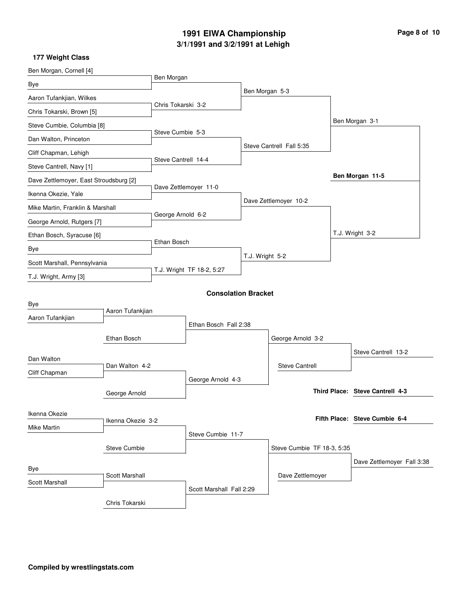# **3/1/1991 and 3/2/1991 at Lehigh 1991 EIWA Championship Page 8 of 10**

| Ben Morgan, Cornell [4]                |                  |                           |                            |                          |                            |  |                                 |
|----------------------------------------|------------------|---------------------------|----------------------------|--------------------------|----------------------------|--|---------------------------------|
| Bye                                    |                  | Ben Morgan                |                            |                          |                            |  |                                 |
| Aaron Tufankjian, Wilkes               |                  | Chris Tokarski 3-2        |                            | Ben Morgan 5-3           |                            |  |                                 |
| Chris Tokarski, Brown [5]              |                  |                           |                            |                          |                            |  |                                 |
| Steve Cumbie, Columbia [8]             |                  |                           |                            |                          |                            |  | Ben Morgan 3-1                  |
| Dan Walton, Princeton                  |                  | Steve Cumbie 5-3          |                            |                          |                            |  |                                 |
| Cliff Chapman, Lehigh                  |                  |                           |                            | Steve Cantrell Fall 5:35 |                            |  |                                 |
| Steve Cantrell, Navy [1]               |                  | Steve Cantrell 14-4       |                            |                          |                            |  |                                 |
| Dave Zettlemoyer, East Stroudsburg [2] |                  | Dave Zettlemoyer 11-0     |                            |                          |                            |  | Ben Morgan 11-5                 |
| Ikenna Okezie, Yale                    |                  |                           |                            |                          |                            |  |                                 |
| Mike Martin, Franklin & Marshall       |                  | George Arnold 6-2         |                            | Dave Zettlemoyer 10-2    |                            |  |                                 |
| George Arnold, Rutgers [7]             |                  |                           |                            |                          |                            |  |                                 |
| Ethan Bosch, Syracuse [6]              |                  |                           |                            |                          |                            |  | T.J. Wright 3-2                 |
| Bye                                    |                  | Ethan Bosch               |                            |                          |                            |  |                                 |
| Scott Marshall, Pennsylvania           |                  |                           |                            | T.J. Wright 5-2          |                            |  |                                 |
| T.J. Wright, Army [3]                  |                  | T.J. Wright TF 18-2, 5:27 |                            |                          |                            |  |                                 |
|                                        |                  |                           | <b>Consolation Bracket</b> |                          |                            |  |                                 |
| Bye                                    |                  |                           |                            |                          |                            |  |                                 |
| Aaron Tufankjian                       | Aaron Tufankjian |                           |                            |                          |                            |  |                                 |
|                                        |                  | Ethan Bosch Fall 2:38     |                            |                          |                            |  |                                 |
|                                        | Ethan Bosch      |                           |                            |                          | George Arnold 3-2          |  |                                 |
| Dan Walton                             |                  |                           |                            |                          |                            |  | Steve Cantrell 13-2             |
| Cliff Chapman                          | Dan Walton 4-2   |                           |                            |                          | <b>Steve Cantrell</b>      |  |                                 |
|                                        |                  | George Arnold 4-3         |                            |                          |                            |  |                                 |
| George Arnold                          |                  |                           |                            |                          |                            |  | Third Place: Steve Cantrell 4-3 |
| Ikenna Okezie                          |                  |                           |                            |                          |                            |  |                                 |
| Ikenna Okezie 3-2<br>Mike Martin       |                  |                           |                            |                          |                            |  | Fifth Place: Steve Cumbie 6-4   |
|                                        |                  |                           | Steve Cumbie 11-7          |                          |                            |  |                                 |
|                                        | Steve Cumbie     |                           |                            |                          | Steve Cumbie TF 18-3, 5:35 |  |                                 |
| Bye                                    |                  |                           |                            |                          |                            |  | Dave Zettlemoyer Fall 3:38      |
| Scott Marshall<br>Scott Marshall       |                  |                           |                            |                          | Dave Zettlemoyer           |  |                                 |
|                                        |                  |                           | Scott Marshall Fall 2:29   |                          |                            |  |                                 |
|                                        | Chris Tokarski   |                           |                            |                          |                            |  |                                 |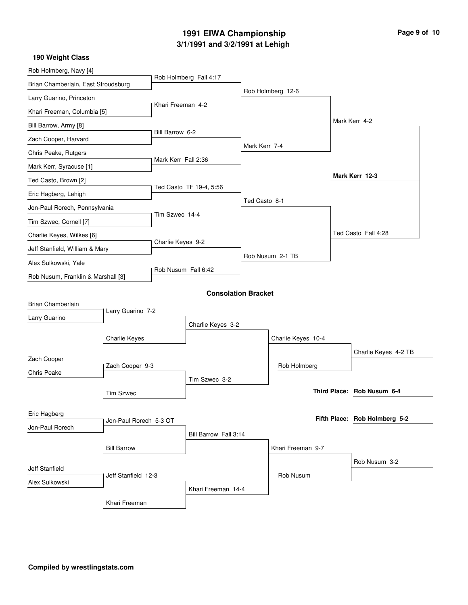# **3/1/1991 and 3/2/1991 at Lehigh 1991 EIWA Championship Page 9 of 10**

| Rob Holmberg, Navy [4]                       |                    |                         |                            |               |                    |                               |                            |
|----------------------------------------------|--------------------|-------------------------|----------------------------|---------------|--------------------|-------------------------------|----------------------------|
| Brian Chamberlain, East Stroudsburg          |                    | Rob Holmberg Fall 4:17  |                            |               |                    |                               |                            |
| Larry Guarino, Princeton                     |                    |                         |                            |               | Rob Holmberg 12-6  |                               |                            |
| Khari Freeman, Columbia [5]                  |                    | Khari Freeman 4-2       |                            |               |                    |                               |                            |
| Bill Barrow, Army [8]                        |                    |                         |                            |               |                    |                               | Mark Kerr 4-2              |
| Zach Cooper, Harvard                         |                    | Bill Barrow 6-2         |                            |               |                    |                               |                            |
| Chris Peake, Rutgers                         |                    | Mark Kerr Fall 2:36     |                            | Mark Kerr 7-4 |                    |                               |                            |
| Mark Kerr, Syracuse [1]                      |                    |                         |                            |               |                    |                               |                            |
| Ted Casto, Brown [2]                         |                    |                         |                            |               |                    |                               | Mark Kerr 12-3             |
| Eric Hagberg, Lehigh                         |                    | Ted Casto TF 19-4, 5:56 |                            | Ted Casto 8-1 |                    |                               |                            |
| Jon-Paul Rorech, Pennsylvania                |                    | Tim Szwec 14-4          |                            |               |                    |                               |                            |
| Tim Szwec, Cornell [7]                       |                    |                         |                            |               |                    |                               |                            |
| Charlie Keyes, Wilkes [6]                    |                    |                         |                            |               |                    |                               | Ted Casto Fall 4:28        |
| Jeff Stanfield, William & Mary               |                    | Charlie Keyes 9-2       |                            |               | Rob Nusum 2-1 TB   |                               |                            |
| Alex Sulkowski, Yale                         |                    |                         |                            |               |                    |                               |                            |
| Rob Nusum, Franklin & Marshall [3]           |                    | Rob Nusum Fall 6:42     |                            |               |                    |                               |                            |
|                                              |                    |                         | <b>Consolation Bracket</b> |               |                    |                               |                            |
| Brian Chamberlain                            |                    |                         |                            |               |                    |                               |                            |
| Larry Guarino                                | Larry Guarino 7-2  |                         | Charlie Keyes 3-2          |               |                    |                               |                            |
|                                              | Charlie Keyes      |                         |                            |               | Charlie Keyes 10-4 |                               |                            |
|                                              |                    |                         |                            |               |                    |                               | Charlie Keyes 4-2 TB       |
| Zach Cooper                                  |                    |                         |                            |               | Rob Holmberg       |                               |                            |
| Chris Peake                                  | Zach Cooper 9-3    |                         | Tim Szwec 3-2              |               |                    |                               |                            |
| <b>Tim Szwec</b>                             |                    |                         |                            |               |                    |                               | Third Place: Rob Nusum 6-4 |
|                                              |                    |                         |                            |               |                    |                               |                            |
| Eric Hagberg<br>Jon-Paul Rorech 5-3 OT       |                    |                         |                            |               |                    | Fifth Place: Rob Holmberg 5-2 |                            |
| Jon-Paul Rorech                              |                    |                         | Bill Barrow Fall 3:14      |               |                    |                               |                            |
|                                              | <b>Bill Barrow</b> |                         |                            |               | Khari Freeman 9-7  |                               |                            |
|                                              |                    |                         |                            |               |                    |                               | Rob Nusum 3-2              |
| <b>Jeff Stanfield</b><br>Jeff Stanfield 12-3 |                    |                         |                            |               | Rob Nusum          |                               |                            |
| Alex Sulkowski                               |                    |                         | Khari Freeman 14-4         |               |                    |                               |                            |
|                                              | Khari Freeman      |                         |                            |               |                    |                               |                            |